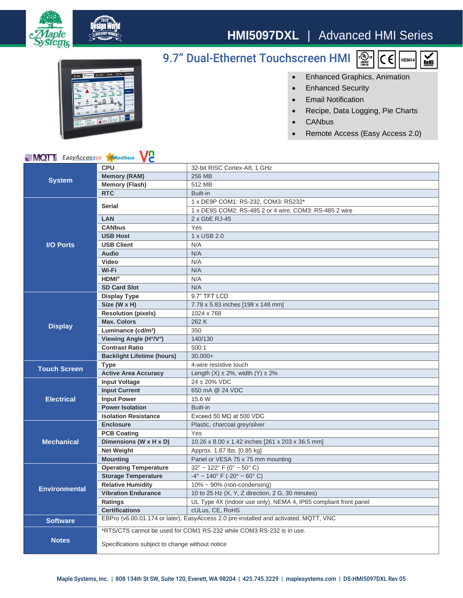

## **HMI5097DXL** | Advanced HMI Series



## 9.7" Dual-Ethernet Touchscreen HMI



- Enhanced Graphics, Animation
- Enhanced Security
- Email Notification
- Recipe, Data Logging, Pie Charts
- CANbus
- Remote Access (Easy Access 2.0)

## **MQT** EasyAccess20 **AModbus** VC

| <b>NIVIQI</b> E <i>asyAccess</i> 20<br><b>XV</b> oabus<br>VC. |                                                                                      |                                                                  |
|---------------------------------------------------------------|--------------------------------------------------------------------------------------|------------------------------------------------------------------|
| <b>System</b>                                                 | <b>CPU</b>                                                                           | 32-bit RISC Cortex-A8, 1 GHz                                     |
|                                                               | <b>Memory (RAM)</b>                                                                  | 256 MB                                                           |
|                                                               | <b>Memory (Flash)</b>                                                                | 512 MB                                                           |
|                                                               | <b>RTC</b>                                                                           | Built-in                                                         |
| <b>I/O Ports</b>                                              | <b>Serial</b>                                                                        | 1 x DE9P COM1: RS-232, COM3: RS232*                              |
|                                                               |                                                                                      | 1 x DE9S COM2: RS-485 2 or 4 wire, COM3: RS-485 2 wire           |
|                                                               | <b>LAN</b>                                                                           | 2 x GbE RJ-45                                                    |
|                                                               | <b>CANbus</b>                                                                        | Yes                                                              |
|                                                               | <b>USB Host</b>                                                                      | 1 x USB 2.0                                                      |
|                                                               | <b>USB Client</b>                                                                    | N/A                                                              |
|                                                               | <b>Audio</b>                                                                         | N/A                                                              |
|                                                               | <b>Video</b>                                                                         | N/A                                                              |
|                                                               | Wi-Fi                                                                                | N/A                                                              |
|                                                               | $HDMI^{\otimes}$                                                                     | N/A                                                              |
|                                                               | <b>SD Card Slot</b>                                                                  | N/A                                                              |
| <b>Display</b>                                                | <b>Display Type</b>                                                                  | 9.7" TFT LCD                                                     |
|                                                               | Size (W x H)                                                                         | 7.78 x 5.83 inches [198 x 148 mm]                                |
|                                                               | <b>Resolution (pixels)</b>                                                           | 1024 x 768                                                       |
|                                                               | <b>Max. Colors</b>                                                                   | 262 K                                                            |
|                                                               | Luminance (cd/m <sup>2</sup> )                                                       | 350                                                              |
|                                                               | Viewing Angle (H°/V°)                                                                | 140/130                                                          |
|                                                               | <b>Contrast Ratio</b>                                                                | 500:1                                                            |
|                                                               | <b>Backlight Lifetime (hours)</b>                                                    | $30,000+$                                                        |
| <b>Touch Screen</b>                                           | <b>Type</b>                                                                          | 4-wire resistive touch                                           |
|                                                               | <b>Active Area Accuracy</b>                                                          | Length $(X) \pm 2\%$ , width $(Y) \pm 2\%$                       |
| <b>Electrical</b>                                             | <b>Input Voltage</b>                                                                 | 24 ± 20% VDC                                                     |
|                                                               | <b>Input Current</b>                                                                 | 650 mA @ 24 VDC                                                  |
|                                                               | <b>Input Power</b>                                                                   | 15.6 W                                                           |
|                                                               | <b>Power Isolation</b>                                                               | Built-in                                                         |
|                                                               | <b>Isolation Resistance</b>                                                          | Exceed 50 $M\Omega$ at 500 VDC                                   |
| <b>Mechanical</b>                                             | <b>Enclosure</b>                                                                     | Plastic, charcoal grey/silver                                    |
|                                                               | <b>PCB Coating</b>                                                                   | Yes                                                              |
|                                                               | Dimensions (W x H x D)                                                               | 10.26 x 8.00 x 1.42 inches [261 x 203 x 36.5 mm]                 |
|                                                               | <b>Net Weight</b>                                                                    | Approx. 1.87 lbs. [0.85 kg]                                      |
|                                                               | <b>Mounting</b>                                                                      | Panel or VESA 75 x 75 mm mounting                                |
| <b>Environmental</b>                                          | <b>Operating Temperature</b>                                                         | $32^{\circ}$ ~ 122° F (0° ~ 50° C)                               |
|                                                               | <b>Storage Temperature</b>                                                           | $-4^{\circ}$ ~ 140° F (-20° ~ 60° C)                             |
|                                                               | <b>Relative Humidity</b>                                                             | $10\% \sim 90\%$ (non-condensing)                                |
|                                                               | <b>Vibration Endurance</b>                                                           | 10 to 25 Hz (X, Y, Z direction, 2 G, 30 minutes)                 |
|                                                               | Ratings                                                                              | UL Type 4X (indoor use only), NEMA 4, IP65 compliant front panel |
|                                                               | <b>Certifications</b>                                                                | cULus, CE, RoHS                                                  |
| <b>Software</b>                                               | EBPro (v6.00.01.174 or later), EasyAccess 2.0 pre-installed and activated, MQTT, VNC |                                                                  |
| <b>Notes</b>                                                  | *RTS/CTS cannot be used for COM1 RS-232 while COM3 RS-232 is in use.                 |                                                                  |
|                                                               |                                                                                      |                                                                  |
|                                                               | Specifications subject to change without notice                                      |                                                                  |